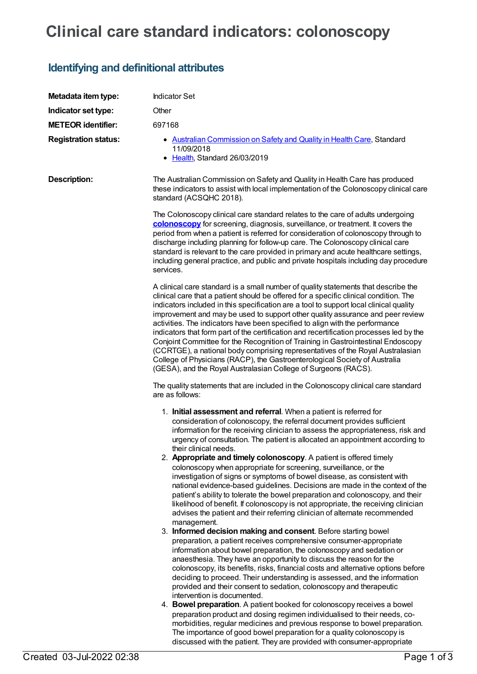## **Clinical care standard indicators: colonoscopy**

## **Identifying and definitional attributes**

| Metadata item type:         | <b>Indicator Set</b>                                                                                                                                                                                                                                                                                                                                                                                                                                                                                                                                                                                                                                                                                                                                                                                                                                                                                                                                                                                                                                                                                                                                                                                                                                                                                                                                                                                                                                                                                                                                                                                                                                                                                                                                                                             |
|-----------------------------|--------------------------------------------------------------------------------------------------------------------------------------------------------------------------------------------------------------------------------------------------------------------------------------------------------------------------------------------------------------------------------------------------------------------------------------------------------------------------------------------------------------------------------------------------------------------------------------------------------------------------------------------------------------------------------------------------------------------------------------------------------------------------------------------------------------------------------------------------------------------------------------------------------------------------------------------------------------------------------------------------------------------------------------------------------------------------------------------------------------------------------------------------------------------------------------------------------------------------------------------------------------------------------------------------------------------------------------------------------------------------------------------------------------------------------------------------------------------------------------------------------------------------------------------------------------------------------------------------------------------------------------------------------------------------------------------------------------------------------------------------------------------------------------------------|
| Indicator set type:         | Other                                                                                                                                                                                                                                                                                                                                                                                                                                                                                                                                                                                                                                                                                                                                                                                                                                                                                                                                                                                                                                                                                                                                                                                                                                                                                                                                                                                                                                                                                                                                                                                                                                                                                                                                                                                            |
| <b>METEOR identifier:</b>   | 697168                                                                                                                                                                                                                                                                                                                                                                                                                                                                                                                                                                                                                                                                                                                                                                                                                                                                                                                                                                                                                                                                                                                                                                                                                                                                                                                                                                                                                                                                                                                                                                                                                                                                                                                                                                                           |
| <b>Registration status:</b> | • Australian Commission on Safety and Quality in Health Care, Standard<br>11/09/2018<br>• Health, Standard 26/03/2019                                                                                                                                                                                                                                                                                                                                                                                                                                                                                                                                                                                                                                                                                                                                                                                                                                                                                                                                                                                                                                                                                                                                                                                                                                                                                                                                                                                                                                                                                                                                                                                                                                                                            |
| <b>Description:</b>         | The Australian Commission on Safety and Quality in Health Care has produced<br>these indicators to assist with local implementation of the Colonoscopy clinical care<br>standard (ACSQHC 2018).                                                                                                                                                                                                                                                                                                                                                                                                                                                                                                                                                                                                                                                                                                                                                                                                                                                                                                                                                                                                                                                                                                                                                                                                                                                                                                                                                                                                                                                                                                                                                                                                  |
|                             | The Colonoscopy clinical care standard relates to the care of adults undergoing<br>colonoscopy for screening, diagnosis, surveillance, or treatment. It covers the<br>period from when a patient is referred for consideration of colonoscopy through to<br>discharge including planning for follow-up care. The Colonoscopy clinical care<br>standard is relevant to the care provided in primary and acute healthcare settings,<br>including general practice, and public and private hospitals including day procedure<br>services.                                                                                                                                                                                                                                                                                                                                                                                                                                                                                                                                                                                                                                                                                                                                                                                                                                                                                                                                                                                                                                                                                                                                                                                                                                                           |
|                             | A clinical care standard is a small number of quality statements that describe the<br>clinical care that a patient should be offered for a specific clinical condition. The<br>indicators included in this specification are a tool to support local clinical quality<br>improvement and may be used to support other quality assurance and peer review<br>activities. The indicators have been specified to align with the performance<br>indicators that form part of the certification and recertification processes led by the<br>Conjoint Committee for the Recognition of Training in Gastrointestinal Endoscopy<br>(CCRTGE), a national body comprising representatives of the Royal Australasian<br>College of Physicians (RACP), the Gastroenterological Society of Australia<br>(GESA), and the Royal Australasian College of Surgeons (RACS).                                                                                                                                                                                                                                                                                                                                                                                                                                                                                                                                                                                                                                                                                                                                                                                                                                                                                                                                         |
|                             | The quality statements that are included in the Colonoscopy clinical care standard<br>are as follows:                                                                                                                                                                                                                                                                                                                                                                                                                                                                                                                                                                                                                                                                                                                                                                                                                                                                                                                                                                                                                                                                                                                                                                                                                                                                                                                                                                                                                                                                                                                                                                                                                                                                                            |
|                             | 1. Initial assessment and referral. When a patient is referred for<br>consideration of colonoscopy, the referral document provides sufficient<br>information for the receiving clinician to assess the appropriateness, risk and<br>urgency of consultation. The patient is allocated an appointment according to<br>their clinical needs.<br>2. Appropriate and timely colonoscopy. A patient is offered timely<br>colonoscopy when appropriate for screening, surveillance, or the<br>investigation of signs or symptoms of bowel disease, as consistent with<br>national evidence-based guidelines. Decisions are made in the context of the<br>patient's ability to tolerate the bowel preparation and colonoscopy, and their<br>likelihood of benefit. If colonoscopy is not appropriate, the receiving clinician<br>advises the patient and their referring clinician of alternate recommended<br>management.<br>3. Informed decision making and consent. Before starting bowel<br>preparation, a patient receives comprehensive consumer-appropriate<br>information about bowel preparation, the colonoscopy and sedation or<br>anaesthesia. They have an opportunity to discuss the reason for the<br>colonoscopy, its benefits, risks, financial costs and alternative options before<br>deciding to proceed. Their understanding is assessed, and the information<br>provided and their consent to sedation, colonoscopy and therapeutic<br>intervention is documented.<br>4. Bowel preparation. A patient booked for colonoscopy receives a bowel<br>preparation product and dosing regimen individualised to their needs, co-<br>morbidities, regular medicines and previous response to bowel preparation.<br>The importance of good bowel preparation for a quality colonoscopy is |

discussed with the patient. They are provided with consumer-appropriate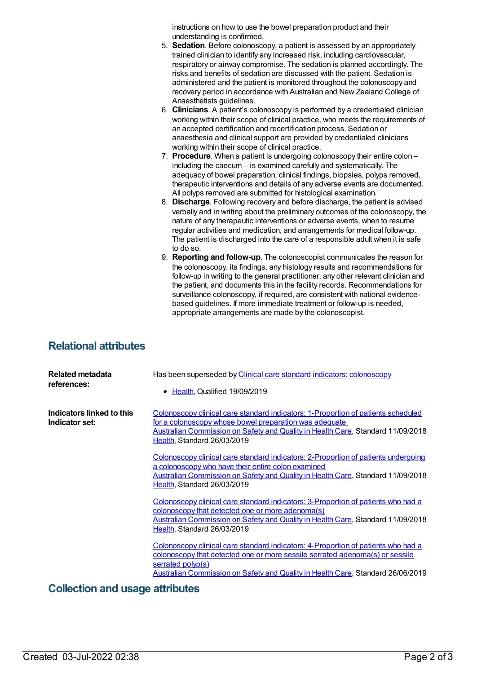instructions on how to use the bowel preparation product and their understanding is confirmed.

- 5. **Sedation**. Before colonoscopy, a patient is assessed by an appropriately trained clinician to identify any increased risk, including cardiovascular, respiratory or airway compromise. The sedation is planned accordingly. The risks and benefits of sedation are discussed with the patient. Sedation is administered and the patient is monitored throughout the colonoscopy and recovery period in accordance with Australian and New Zealand College of Anaesthetists guidelines.
- 6. **Clinicians**. A patient's colonoscopy is performed by a credentialed clinician working within their scope of clinical practice, who meets the requirements of an accepted certification and recertification process. Sedation or anaesthesia and clinical support are provided by credentialed clinicians working within their scope of clinical practice.
- 7. **Procedure**. When a patient is undergoing colonoscopy their entire colon including the caecum – is examined carefully and systematically. The adequacy of bowel preparation, clinical findings, biopsies, polyps removed, therapeutic interventions and details of any adverse events are documented. All polyps removed are submitted for histological examination.
- 8. **Discharge**. Following recovery and before discharge, the patient is advised verbally and in writing about the preliminary outcomes of the colonoscopy, the nature of any therapeutic interventions or adverse events, when to resume regular activities and medication, and arrangements for medical follow-up. The patient is discharged into the care of a responsible adult when it is safe to do so.
- 9. **Reporting and follow-up**. The colonoscopist communicates the reason for the colonoscopy, its findings, any histology results and recommendations for follow-up in writing to the general practitioner, any other relevant clinician and the patient, and documents this in the facility records. Recommendations for surveillance colonoscopy, if required, are consistent with national evidencebased guidelines. If more immediate treatment or follow-up is needed, appropriate arrangements are made by the colonoscopist.

## **Relational attributes**

| Related metadata<br>references:             | Has been superseded by Clinical care standard indicators: colonoscopy<br>• Health, Qualified 19/09/2019                                                                                                                                                                   |
|---------------------------------------------|---------------------------------------------------------------------------------------------------------------------------------------------------------------------------------------------------------------------------------------------------------------------------|
| Indicators linked to this<br>Indicator set: | Colonoscopy clinical care standard indicators: 1-Proportion of patients scheduled<br>for a colonoscopy whose bowel preparation was adequate<br>Australian Commission on Safety and Quality in Health Care, Standard 11/09/2018<br>Health, Standard 26/03/2019             |
|                                             | Colonoscopy clinical care standard indicators: 2-Proportion of patients undergoing<br>a colonoscopy who have their entire colon examined<br>Australian Commission on Safety and Quality in Health Care, Standard 11/09/2018<br>Health, Standard 26/03/2019                |
|                                             | Colonoscopy clinical care standard indicators: 3-Proportion of patients who had a<br>colonoscopy that detected one or more adenoma(s)<br>Australian Commission on Safety and Quality in Health Care, Standard 11/09/2018<br>Health, Standard 26/03/2019                   |
|                                             | Colonoscopy clinical care standard indicators: 4-Proportion of patients who had a<br>colonoscopy that detected one or more sessile serrated adenoma(s) or sessile<br>serrated polyp(s)<br>Australian Commission on Safety and Quality in Health Care, Standard 26/06/2019 |

## **Collection and usage attributes**